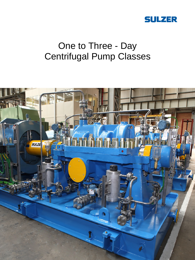

# One to Three - Day Centrifugal Pump Classes

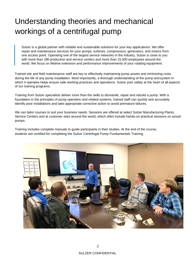# Understanding theories and mechanical workings of a centrifugal pump

Sulzer is a global partner with reliable and sustainable solutions for your key applications. We offer repair and maintenance services for your pumps, turbines, compressors, generators, and motors from one access point. Operating one of the largest service networks in the industry, Sulzer is close to you with more than 180 production and service centers and more than 15,000 employees around the world. We focus on lifetime extension and performance improvements of your rotating equipment.

Trained site and field maintenance staff are key to effectively maintaining pump assets and minimizing costs during the life of any pump installation. Most importantly, a thorough understanding of the pump and system in which it operates helps ensure safe working practices and operations. Sulzer puts safety at the heart of all aspects of our training programs.

Training from Sulzer specialists deliver more than the skills to dismantle, repair and rebuild a pump. With a foundation in the principles of pump operation and related systems, trained staff can quickly and accurately identify poor installations and take appropriate corrective action to avoid premature failures.

We can tailor courses to suit your business needs. Sessions are offered at select Sulzer Manufacturing Plants, Service Centers and at customer sites around the world, which often include hands-on practical sessions on actual pumps.

Training includes complete manuals to guide participants in their studies. At the end of the course, students are certified for completing the Sulzer Centrifugal Pump Fundamentals Training.

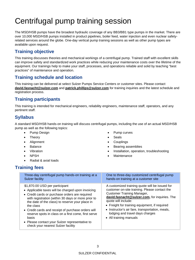# Centrifugal pump training session

The MSD/HSB pumps have the broadest hydraulic coverage of any BB3/BB1 type pumps in the market. There are over 10,000 MSD/HSB pumps installed in product pipelines, boiler feed, water injection and even nuclear safetyrelated services around the globe. One-day vertical pump training sessions as well as other pump types are available upon request.

### **Training objective**

This training discusses theories and mechanical workings of a centrifugal pump. Trained staff with excellent skills can improve safety and standardized work practices while reducing your maintenance costs over the lifetime of the equipment. Our trainings help to make your staff, processes, and operations reliable and solid by teaching "best practices" of maintenance and operation.

#### **Training schedule and location**

This training can be delivered at select Sulzer Pumps Service Centers or customer sites. Please contact **david.fasnacht@sulzer.com** and **patrick.phillips@sulzer.com** for training inquiries and the latest schedule and registration process.

#### **Training participants**

This training is intended for mechanical engineers, reliability engineers, maintenance staff, operators, and any pertinent staff.

#### **Syllabus**

A standard MSD/HSB hands-on training will discuss centrifugal pumps, including the use of an actual MSD/HSB pump as well as the following topics:

• Pump curves

**Couplings** • Bearing assemblies

Maintenance

• Installation, operation, troubleshooting

• Seals

- Pump Design
- Theory
- Alignment
- Balance
- Vibration
- NPSH
- Radial & axial loads

#### **Training fees**

| Three-day centrifugal pump hands-on training at a<br>Sulzer facility                                                                                                                                                                                                                                                                                                                                                                                                      | One to three-day customized centrifugal pump<br>hands-on training at a customer site                                                                                                                                                                                                                                                                                          |
|---------------------------------------------------------------------------------------------------------------------------------------------------------------------------------------------------------------------------------------------------------------------------------------------------------------------------------------------------------------------------------------------------------------------------------------------------------------------------|-------------------------------------------------------------------------------------------------------------------------------------------------------------------------------------------------------------------------------------------------------------------------------------------------------------------------------------------------------------------------------|
| \$1,870.00 USD per participant<br>• Applicable taxes will be charged upon invoicing<br>• Credit cards or purchase orders are required<br>with registration (within 30 days or more prior to<br>the date of the class) to reserve your place in<br>the class<br>• Credit cards and receipt of purchase orders will<br>reserve spots in class on a first come, first serve<br>basis<br>• Please contact your Sulzer representative to<br>check your nearest Sulzer facility | A customized training quote will be issued for<br>customer on-site training. Please contact the<br><b>Customer Training Manager,</b><br>david.fasnacht@sulzer.com, for inquiries. The<br>quote will include:<br>• Freight for training equipment, if required<br>• Instructor's air fare, transportation, meals,<br>lodging and travel days charges<br>• All training manuals |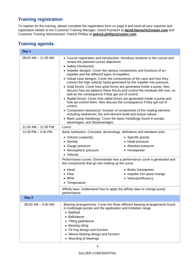## **Training registration**

To register for the training, please complete the registration form on page 8 and send all your inquiries and registration details to the Customer Training Manager, David Fasnacht at **david.fasnacht@sulzer.com** and Customer Training Administrator, Patrick Phillips at **patrick.phillips@sulzer.com** 

#### **Training agenda**

| Day 1                   |                                                                                                                                                                                                                                                                                                                                                                                                                                                                                                                                                                                                                                                                                                                                                                                                                                                                                                                                                                                                                                                                         |  |
|-------------------------|-------------------------------------------------------------------------------------------------------------------------------------------------------------------------------------------------------------------------------------------------------------------------------------------------------------------------------------------------------------------------------------------------------------------------------------------------------------------------------------------------------------------------------------------------------------------------------------------------------------------------------------------------------------------------------------------------------------------------------------------------------------------------------------------------------------------------------------------------------------------------------------------------------------------------------------------------------------------------------------------------------------------------------------------------------------------------|--|
| $08:00$ AM $-$ 11:30 AM | • Course registration and introduction: Introduce students to the course and<br>review the planned course objectives.<br>• Safety introduction.<br>• Impeller designs: Cover the various components and functions of an<br>impeller and the different types of impellers.<br>• Volute case designs: Cover the components of the case and how they<br>convert the high velocity liquid generated by the impeller into pressure.<br>• Axial forces: Cover how axial forces are generated inside a pump. Also<br>discuss how we balance these forces and control the residuals left over, as<br>well as the consequence if they get out of control.<br>• Radial forces: Cover how radial forces are generated inside a pump and<br>how we control them. Also discuss the consequence if they get out of<br>control.<br>• Component clearances: function of components of the rotating element,<br>including clearances, fits and element build and torque values.<br>• Basic pump metallurgy: Cover the basic metallurgy found in pumps,<br>advantages, and disadvantages. |  |
| 11:30 AM - 12:30 PM     | Lunch                                                                                                                                                                                                                                                                                                                                                                                                                                                                                                                                                                                                                                                                                                                                                                                                                                                                                                                                                                                                                                                                   |  |
| 12:30 PM - 3:30 PM      | Basic hydraulics: Concepts, terminology, definitions and standard units.<br>• Specific gravity<br>• Volume (capacity)<br>• Head pressure<br>• Density<br>• Absolute pressure<br>• Gauge pressure<br>• Atmospheric pressure<br>• Horsepower<br>• Velocity<br>Performance curves: Demonstrate how a performance curve is generated and                                                                                                                                                                                                                                                                                                                                                                                                                                                                                                                                                                                                                                                                                                                                    |  |
|                         | the components that go into making up the curve.<br>$\bullet$ Head<br>• Brake horsepower<br>• Impeller trim peed change<br>$\bullet$ Flow<br>$\bullet$ RPM<br>• Velocity/efficiency<br>• Temperature<br>Affinity laws: Understand how to apply the affinity laws to change pump<br>performance.                                                                                                                                                                                                                                                                                                                                                                                                                                                                                                                                                                                                                                                                                                                                                                         |  |
| Day 2                   |                                                                                                                                                                                                                                                                                                                                                                                                                                                                                                                                                                                                                                                                                                                                                                                                                                                                                                                                                                                                                                                                         |  |
| $08:00$ AM $-$ 9:30 AM  | Bearing arrangements: Cover the three different bearing arrangements found<br>in multistage pumps and the application and limitation range.<br>• Ball/ball<br><b>Ball/sleeve</b><br>Tilting pad/sleeve<br>Bearing oiling<br>Oil ring design and function<br>Sleeve bearing design and function<br>• Mounting of bearings                                                                                                                                                                                                                                                                                                                                                                                                                                                                                                                                                                                                                                                                                                                                                |  |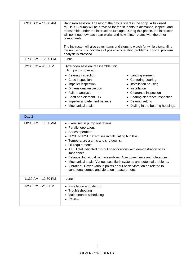| $09:30$ AM $-$ 11:30 AM |                                                                                                                                                                                                                                                                                                                                    |                                   |
|-------------------------|------------------------------------------------------------------------------------------------------------------------------------------------------------------------------------------------------------------------------------------------------------------------------------------------------------------------------------|-----------------------------------|
|                         | Hands-on session: The rest of the day is spent in the shop. A full-sized<br>MSD/HSB pump will be provided for the students to dismantle, inspect, and<br>reassemble under the instructor's tutelage. During this phase, the instructor<br>will point out how each part works and how it interrelates with the other<br>components. |                                   |
|                         | The instructor will also cover items and signs to watch for while dismantling                                                                                                                                                                                                                                                      |                                   |
|                         | the unit, which is indicative of possible operating problems. Logical problem<br>analysis is stressed.                                                                                                                                                                                                                             |                                   |
| 11:30 AM - 12:30 PM     | Lunch                                                                                                                                                                                                                                                                                                                              |                                   |
| 12:30 PM - 4:30 PM      | Afternoon session: reassemble unit.                                                                                                                                                                                                                                                                                                |                                   |
|                         | High points covered:                                                                                                                                                                                                                                                                                                               |                                   |
|                         | • Bearing inspection                                                                                                                                                                                                                                                                                                               | • Landing element                 |
|                         | • Case inspection                                                                                                                                                                                                                                                                                                                  | • Centering bearing               |
|                         | Impeller inspection                                                                                                                                                                                                                                                                                                                | • Installation housing            |
|                         | • Dimensional inspection                                                                                                                                                                                                                                                                                                           | • Installation                    |
|                         | • Failure analysis                                                                                                                                                                                                                                                                                                                 | • Clearance inspection            |
|                         | • Shaft and element TIR                                                                                                                                                                                                                                                                                                            | • Bearing clearance inspection    |
|                         | Impeller and element balance                                                                                                                                                                                                                                                                                                       | • Bearing setting                 |
|                         | • Mechanical seals                                                                                                                                                                                                                                                                                                                 | • Dialing in the bearing housings |

| Day 3                   |                                                                                                                                                                                                                                                                                                                                                                                                                                                                                                                                                                                    |
|-------------------------|------------------------------------------------------------------------------------------------------------------------------------------------------------------------------------------------------------------------------------------------------------------------------------------------------------------------------------------------------------------------------------------------------------------------------------------------------------------------------------------------------------------------------------------------------------------------------------|
| $08:00$ AM $-$ 11:30 AM | • Exercises in pump operations.<br>• Parallel operation.<br>• Series operation.<br>• NPSHa-NPSHr exercises in calculating NPSHa.<br>• Temperature alarms and shutdowns.<br>• Oil requirements.<br>TIR: Total indicated run-out specifications with demonstration of its<br>$\bullet$<br>importance.<br>• Balance: Individual part assemblies. Also cover limits and tolerances.<br>• Mechanical seals: Various seal flush systems and potential problems.<br>• Vibration: Cover various points about basic vibration as related to<br>centrifugal pumps and vibration measurement. |
| $11:30$ AM $- 12:30$ PM | Lunch                                                                                                                                                                                                                                                                                                                                                                                                                                                                                                                                                                              |
| 12:30 PM - 2:30 PM      | Installation and start up<br>$\bullet$<br>• Troubleshooting<br>• Maintenance scheduling<br>• Review                                                                                                                                                                                                                                                                                                                                                                                                                                                                                |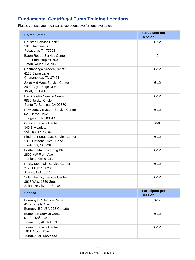## **Fundamental Centrifugal Pump Training Locations**

Please contact your local sales representative for tentative dates.

| <b>United States</b>                                                                       | <b>Participant per</b><br>session |
|--------------------------------------------------------------------------------------------|-----------------------------------|
| <b>Houston Service Center</b><br>1910 Jasmine Dr.<br>Pasadena, TX 77503                    | $6 - 12$                          |
| <b>Baton Rouge Service Center</b><br>11521 Industriplex Blvd<br>Baton Rouge, LA 70809      | 6                                 |
| Chattanooga Service Center<br>4126 Caine Lane<br>Chattanooga, TN 37421                     | $6 - 12$                          |
| Joliet Mid-West Service Center<br>2600 City's Edge Drive<br>Joliet, IL 60436               | $6 - 12$                          |
| Los Angeles Service Center<br>9856 Jordan Circle<br>Santa Fe Springs, CA 90670             | $6 - 12$                          |
| New Jersey Eastern Service Center<br>621 Heron Drive<br>Bridgeport, NJ 08014               | $6 - 12$                          |
| <b>Odessa Service Center</b><br>340 S Meadow<br>Odessa, TX 79761                           | $6 - 8$                           |
| <b>Piedmont Southeast Service Center</b><br>108 Hurricane Creek Road<br>Piedmont, SC 92673 | $6 - 12$                          |
| Portland Manufacturing Plant<br>2800 NW Front Ave<br>Portland, OR 97210                    | $6 - 12$                          |
| Rocky Mountain Service Center<br>21201 E 31 <sup>st</sup> Circle<br>Aurora, CO 80011       | $6 - 12$                          |
| Salt Lake City Service Center<br>3618 West 1820 South<br>Salt Lake City, UT 84104          | $6 - 12$                          |
| <b>Canada</b>                                                                              | <b>Participant per</b><br>session |
| <b>Burnaby BC Service Center</b><br>4129 Lozells Ave<br>Burnaby, BC V5A 2Z5 Canada         | $6 - 12$                          |
| <b>Edmonton Service Center</b><br>$5118 - 68$ <sup>th</sup> Ave<br>Edmonton, AB T6B 2X7    | $6 - 12$                          |
| <b>Toronto Service Centre</b><br>1851 Albion Road<br>Toronto, ON M9W 5S8                   | $6 - 12$                          |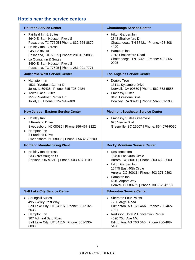### **Hotels near the service centers**

| <b>Houston Service Center</b>                                                                                                                                                                                                                                                                      | <b>Chattanooga Service Center</b>                                                                                                                                                                                                                                      |
|----------------------------------------------------------------------------------------------------------------------------------------------------------------------------------------------------------------------------------------------------------------------------------------------------|------------------------------------------------------------------------------------------------------------------------------------------------------------------------------------------------------------------------------------------------------------------------|
| • Fairfield Inn & Suites<br>3640 E. Sam Houston Pkwy S<br>Pasadena, TX 77505   Phone: 832-664-8870<br><b>Holiday Inn Express</b><br>5450 Vista Rd.<br>Pasadena, TX 77505   Phone: 281-487-8888<br>La Quinta Inn & Suites<br>3490 E. Sam Houston Pkwy S<br>Pasadena, TX 77505   Phone: 281-991-7771 | • Hilton Garden Inn<br>2343 Shallowford Dr<br>Chattanooga, TN 37421   Phone: 423-308-<br>4400<br>• Hampton Inn<br>7013 Shallowford Road<br>Chattanooga, TN 37421   Phone: 423-855-<br>0095                                                                             |
| <b>Joliet Mid-West Service Center</b>                                                                                                                                                                                                                                                              | <b>Los Angeles Service Center</b>                                                                                                                                                                                                                                      |
| Hampton Inn<br>$\bullet$<br>1521 Riverboat Center Dr<br>Joliet, IL 60436   Phone: 815-725-2424<br>• Town Place Suites<br>1515 Riverboat Center Dr<br>Joliet, IL   Phone: 815-741-2400                                                                                                              | • Double Tree<br>13111 Sycamore Drive<br>Norwalk, CA 90650   Phone: 562-863-5555<br>• Embassy Suites<br>8425 Firestone Blvd.<br>Downey, CA 90241   Phone: 562-861-1900                                                                                                 |
| <b>New Jersey - Eastern Service Center</b>                                                                                                                                                                                                                                                         | <b>Piedmont Southeast Service Center</b>                                                                                                                                                                                                                               |
| Holiday Inn<br>$\bullet$<br>1 Pureland Drive<br>Swedesboro, NJ 08085   Phone: 856-467-3322<br>Hampton Inn<br>2 Pureland Drive<br>Swedesboro, NJ 08085   Phone: 856-467-6200                                                                                                                        | • Embassy Suites Greenville<br>670 Verdai Blvd<br>Greenville, SC 29607   Phone: 864-676-9090                                                                                                                                                                           |
| <b>Portland Manufacturing Plant</b>                                                                                                                                                                                                                                                                | <b>Rocky Mountain Service Center</b>                                                                                                                                                                                                                                   |
| <b>Holiday Inn Express</b><br>$\bullet$<br>2333 NW Vaughn St<br>Portland, OR 97210   Phone: 503-484-1100                                                                                                                                                                                           | • Residence Inn<br>16490 East 40th Circle<br>Aurora, CO 80011   Phone: 303-459-8000<br>Hilton Garden Inn<br>16475 East 40th Circle<br>Aurora, CO 80011   Phone: 303-371-9393<br>Hampton Inn<br>$\bullet$<br>4310 Airport Way<br>Denver, CO 80239   Phone: 303-375-8118 |
| <b>Salt Lake City Service Center</b>                                                                                                                                                                                                                                                               | <b>Edmonton Service Center</b>                                                                                                                                                                                                                                         |
| <b>Springhill Suites</b><br>4955 Wiley Post Way<br>Salt Lake City, UT 84116   Phone: 801-532-<br>6633<br>Hampton Inn<br>307 Admiral Byrd Road<br>Salt Lake City, UT 84116   Phone: 801-530-<br>0088                                                                                                | <b>Sheraton Four Points</b><br>$\bullet$<br>7230 Argyll Road<br>Edmonton, AB T6C 4A6   Phone: 780-465-<br>7931<br>Radisson Hotel & Convention Center<br>$\bullet$<br>4520 76th Ave NW<br>Edmonton, AB T6B 0A5   Phone: 780-468-<br>5400                                |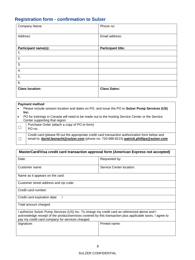# **Registration form - confirmation to Sulzer**

| Company Name:               | Phone no:                 |
|-----------------------------|---------------------------|
| Address:                    | Email address:            |
| <b>Participant name(s):</b> | <b>Participant title:</b> |
| 1.                          |                           |
| 2.                          |                           |
| 3.                          |                           |
| 4.                          |                           |
| 5.                          |                           |
| 6.                          |                           |
| <b>Class location:</b>      | <b>Class Dates:</b>       |

|           | <b>Payment method</b>                                                                             |  |
|-----------|---------------------------------------------------------------------------------------------------|--|
|           | Please include session location and dates on PO, and issue the PO to Sulzer Pump Services (US)    |  |
|           | Inc.                                                                                              |  |
| $\bullet$ | PO for trainings in Canada will need to be made out to the hosting Service Center or the Service  |  |
|           | Center supporting that region                                                                     |  |
|           | Purchase Order (attach a copy of PO to form)                                                      |  |
|           | PO no:                                                                                            |  |
|           | Credit card (please fill out the appropriate credit card transaction authorization form below and |  |
|           | email to: david.fasnacht@sulzer.com (phone no: 720-688-8215) patrick.phillips@sulzer.com          |  |
|           |                                                                                                   |  |

| MasterCard/Visa credit card transaction approval form (American Express not accepted)                                                                                                                                                                          |                          |  |
|----------------------------------------------------------------------------------------------------------------------------------------------------------------------------------------------------------------------------------------------------------------|--------------------------|--|
| Date:                                                                                                                                                                                                                                                          | Requested by:            |  |
| Customer name:                                                                                                                                                                                                                                                 | Service Center location: |  |
| Name as it appears on the card:                                                                                                                                                                                                                                |                          |  |
| Customer street address and zip code:                                                                                                                                                                                                                          |                          |  |
| Credit card number:                                                                                                                                                                                                                                            |                          |  |
| Credit card expiration date:                                                                                                                                                                                                                                   |                          |  |
| Total amount charged:                                                                                                                                                                                                                                          |                          |  |
| I authorize Sulzer Pump Services (US) Inc. To charge my credit card as referenced above and I<br>acknowledge receipt of the product/services covered by this transaction plus applicable taxes. I agree to<br>pay my credit card company for services charged. |                          |  |
| Signature:                                                                                                                                                                                                                                                     | Printed name:            |  |
|                                                                                                                                                                                                                                                                |                          |  |